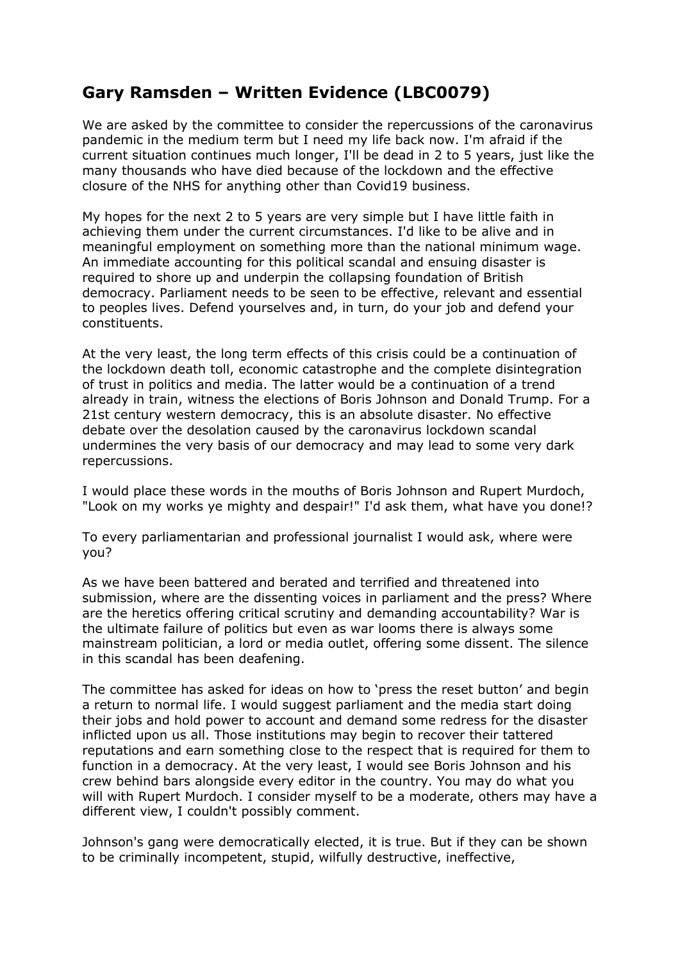## **Gary Ramsden – Written Evidence (LBC0079)**

We are asked by the committee to consider the repercussions of the caronavirus pandemic in the medium term but I need my life back now. I'm afraid if the current situation continues much longer, I'll be dead in 2 to 5 years, just like the many thousands who have died because of the lockdown and the effective closure of the NHS for anything other than Covid19 business.

My hopes for the next 2 to 5 years are very simple but I have little faith in achieving them under the current circumstances. I'd like to be alive and in meaningful employment on something more than the national minimum wage. An immediate accounting for this political scandal and ensuing disaster is required to shore up and underpin the collapsing foundation of British democracy. Parliament needs to be seen to be effective, relevant and essential to peoples lives. Defend yourselves and, in turn, do your job and defend your constituents.

At the very least, the long term effects of this crisis could be a continuation of the lockdown death toll, economic catastrophe and the complete disintegration of trust in politics and media. The latter would be a continuation of a trend already in train, witness the elections of Boris Johnson and Donald Trump. For a 21st century western democracy, this is an absolute disaster. No effective debate over the desolation caused by the caronavirus lockdown scandal undermines the very basis of our democracy and may lead to some very dark repercussions.

I would place these words in the mouths of Boris Johnson and Rupert Murdoch, "Look on my works ye mighty and despair!" I'd ask them, what have you done!?

To every parliamentarian and professional journalist I would ask, where were you?

As we have been battered and berated and terrified and threatened into submission, where are the dissenting voices in parliament and the press? Where are the heretics offering critical scrutiny and demanding accountability? War is the ultimate failure of politics but even as war looms there is always some mainstream politician, a lord or media outlet, offering some dissent. The silence in this scandal has been deafening.

The committee has asked for ideas on how to 'press the reset button' and begin a return to normal life. I would suggest parliament and the media start doing their jobs and hold power to account and demand some redress for the disaster inflicted upon us all. Those institutions may begin to recover their tattered reputations and earn something close to the respect that is required for them to function in a democracy. At the very least, I would see Boris Johnson and his crew behind bars alongside every editor in the country. You may do what you will with Rupert Murdoch. I consider myself to be a moderate, others may have a different view, I couldn't possibly comment.

Johnson's gang were democratically elected, it is true. But if they can be shown to be criminally incompetent, stupid, wilfully destructive, ineffective,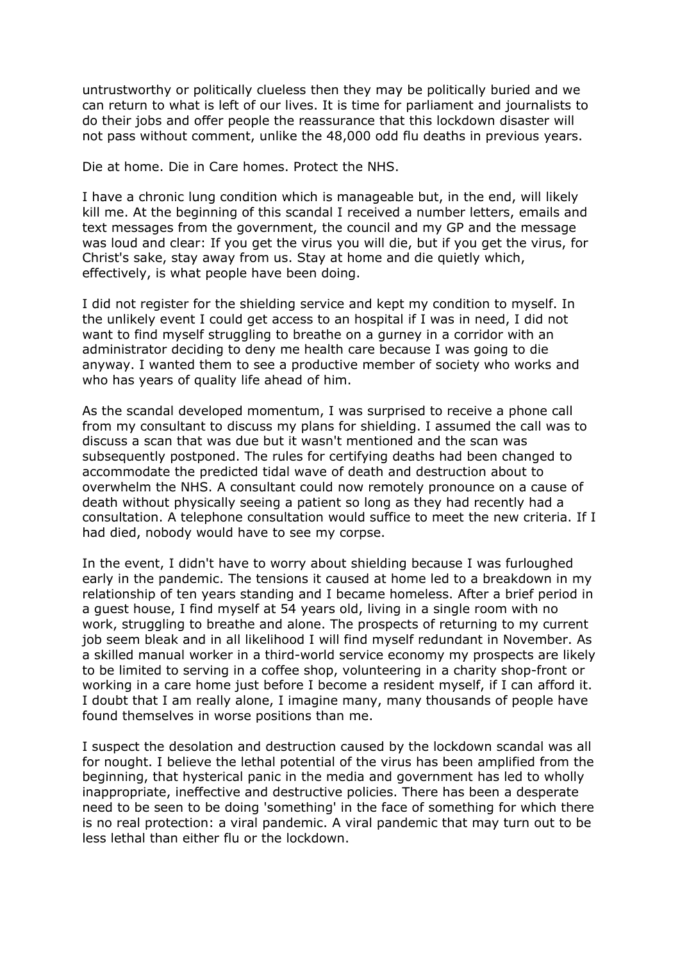untrustworthy or politically clueless then they may be politically buried and we can return to what is left of our lives. It is time for parliament and journalists to do their jobs and offer people the reassurance that this lockdown disaster will not pass without comment, unlike the 48,000 odd flu deaths in previous years.

Die at home. Die in Care homes. Protect the NHS.

I have a chronic lung condition which is manageable but, in the end, will likely kill me. At the beginning of this scandal I received a number letters, emails and text messages from the government, the council and my GP and the message was loud and clear: If you get the virus you will die, but if you get the virus, for Christ's sake, stay away from us. Stay at home and die quietly which, effectively, is what people have been doing.

I did not register for the shielding service and kept my condition to myself. In the unlikely event I could get access to an hospital if I was in need, I did not want to find myself struggling to breathe on a gurney in a corridor with an administrator deciding to deny me health care because I was going to die anyway. I wanted them to see a productive member of society who works and who has years of quality life ahead of him.

As the scandal developed momentum, I was surprised to receive a phone call from my consultant to discuss my plans for shielding. I assumed the call was to discuss a scan that was due but it wasn't mentioned and the scan was subsequently postponed. The rules for certifying deaths had been changed to accommodate the predicted tidal wave of death and destruction about to overwhelm the NHS. A consultant could now remotely pronounce on a cause of death without physically seeing a patient so long as they had recently had a consultation. A telephone consultation would suffice to meet the new criteria. If I had died, nobody would have to see my corpse.

In the event, I didn't have to worry about shielding because I was furloughed early in the pandemic. The tensions it caused at home led to a breakdown in my relationship of ten years standing and I became homeless. After a brief period in a guest house, I find myself at 54 years old, living in a single room with no work, struggling to breathe and alone. The prospects of returning to my current job seem bleak and in all likelihood I will find myself redundant in November. As a skilled manual worker in a third-world service economy my prospects are likely to be limited to serving in a coffee shop, volunteering in a charity shop-front or working in a care home just before I become a resident myself, if I can afford it. I doubt that I am really alone, I imagine many, many thousands of people have found themselves in worse positions than me.

I suspect the desolation and destruction caused by the lockdown scandal was all for nought. I believe the lethal potential of the virus has been amplified from the beginning, that hysterical panic in the media and government has led to wholly inappropriate, ineffective and destructive policies. There has been a desperate need to be seen to be doing 'something' in the face of something for which there is no real protection: a viral pandemic. A viral pandemic that may turn out to be less lethal than either flu or the lockdown.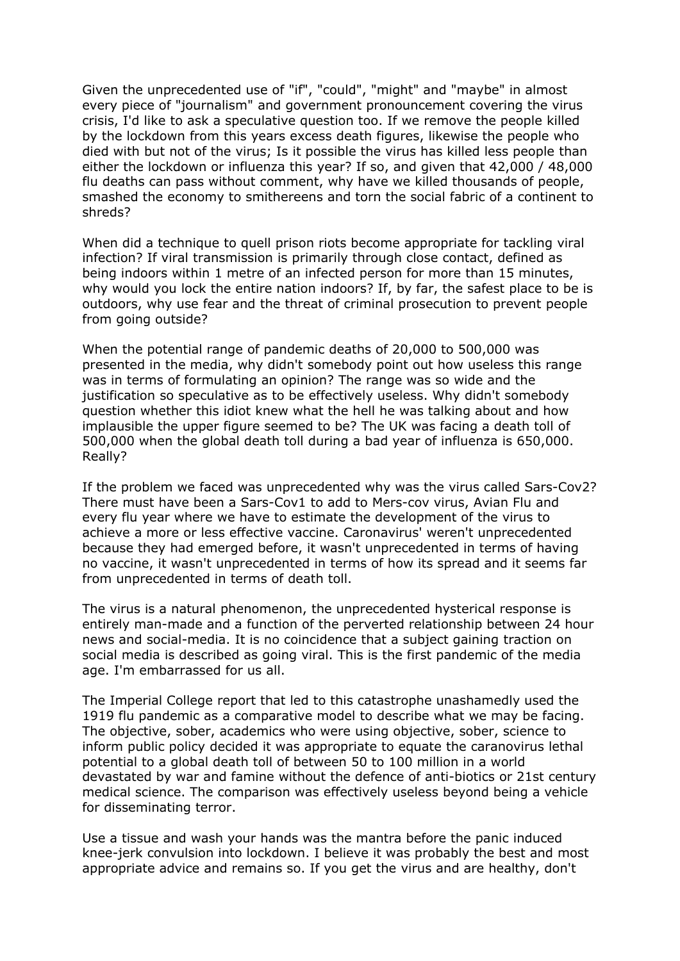Given the unprecedented use of "if", "could", "might" and "maybe" in almost every piece of "journalism" and government pronouncement covering the virus crisis, I'd like to ask a speculative question too. If we remove the people killed by the lockdown from this years excess death figures, likewise the people who died with but not of the virus; Is it possible the virus has killed less people than either the lockdown or influenza this year? If so, and given that 42,000 / 48,000 flu deaths can pass without comment, why have we killed thousands of people, smashed the economy to smithereens and torn the social fabric of a continent to shreds?

When did a technique to quell prison riots become appropriate for tackling viral infection? If viral transmission is primarily through close contact, defined as being indoors within 1 metre of an infected person for more than 15 minutes, why would you lock the entire nation indoors? If, by far, the safest place to be is outdoors, why use fear and the threat of criminal prosecution to prevent people from going outside?

When the potential range of pandemic deaths of 20,000 to 500,000 was presented in the media, why didn't somebody point out how useless this range was in terms of formulating an opinion? The range was so wide and the justification so speculative as to be effectively useless. Why didn't somebody question whether this idiot knew what the hell he was talking about and how implausible the upper figure seemed to be? The UK was facing a death toll of 500,000 when the global death toll during a bad year of influenza is 650,000. Really?

If the problem we faced was unprecedented why was the virus called Sars-Cov2? There must have been a Sars-Cov1 to add to Mers-cov virus, Avian Flu and every flu year where we have to estimate the development of the virus to achieve a more or less effective vaccine. Caronavirus' weren't unprecedented because they had emerged before, it wasn't unprecedented in terms of having no vaccine, it wasn't unprecedented in terms of how its spread and it seems far from unprecedented in terms of death toll.

The virus is a natural phenomenon, the unprecedented hysterical response is entirely man-made and a function of the perverted relationship between 24 hour news and social-media. It is no coincidence that a subject gaining traction on social media is described as going viral. This is the first pandemic of the media age. I'm embarrassed for us all.

The Imperial College report that led to this catastrophe unashamedly used the 1919 flu pandemic as a comparative model to describe what we may be facing. The objective, sober, academics who were using objective, sober, science to inform public policy decided it was appropriate to equate the caranovirus lethal potential to a global death toll of between 50 to 100 million in a world devastated by war and famine without the defence of anti-biotics or 21st century medical science. The comparison was effectively useless beyond being a vehicle for disseminating terror.

Use a tissue and wash your hands was the mantra before the panic induced knee-jerk convulsion into lockdown. I believe it was probably the best and most appropriate advice and remains so. If you get the virus and are healthy, don't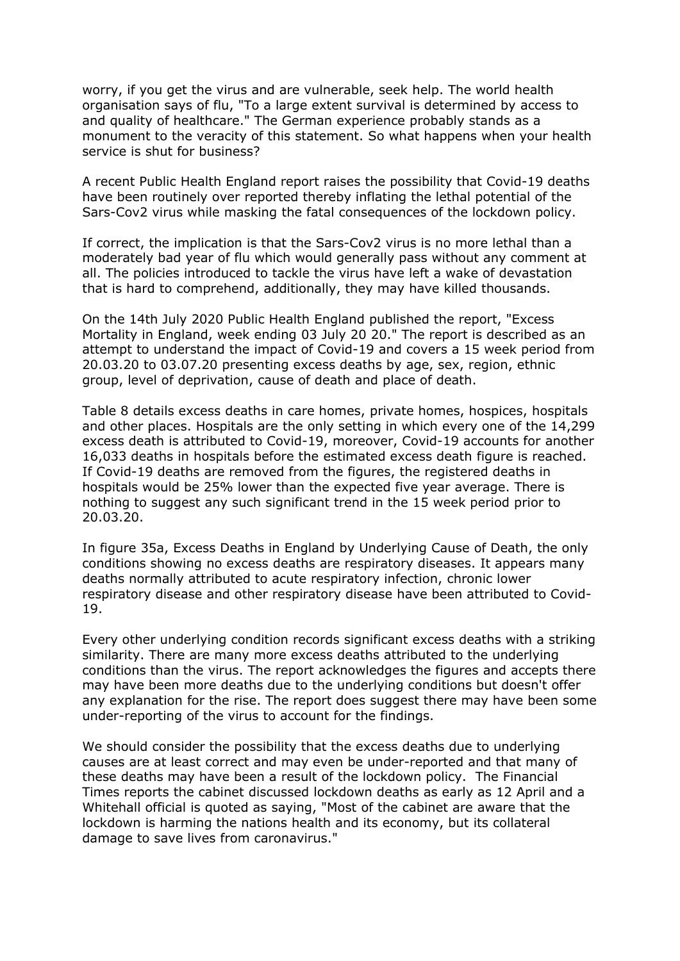worry, if you get the virus and are vulnerable, seek help. The world health organisation says of flu, "To a large extent survival is determined by access to and quality of healthcare." The German experience probably stands as a monument to the veracity of this statement. So what happens when your health service is shut for business?

A recent Public Health England report raises the possibility that Covid-19 deaths have been routinely over reported thereby inflating the lethal potential of the Sars-Cov2 virus while masking the fatal consequences of the lockdown policy.

If correct, the implication is that the Sars-Cov2 virus is no more lethal than a moderately bad year of flu which would generally pass without any comment at all. The policies introduced to tackle the virus have left a wake of devastation that is hard to comprehend, additionally, they may have killed thousands.

On the 14th July 2020 Public Health England published the report, "Excess Mortality in England, week ending 03 July 20 20." The report is described as an attempt to understand the impact of Covid-19 and covers a 15 week period from 20.03.20 to 03.07.20 presenting excess deaths by age, sex, region, ethnic group, level of deprivation, cause of death and place of death.

Table 8 details excess deaths in care homes, private homes, hospices, hospitals and other places. Hospitals are the only setting in which every one of the 14,299 excess death is attributed to Covid-19, moreover, Covid-19 accounts for another 16,033 deaths in hospitals before the estimated excess death figure is reached. If Covid-19 deaths are removed from the figures, the registered deaths in hospitals would be 25% lower than the expected five year average. There is nothing to suggest any such significant trend in the 15 week period prior to 20.03.20.

In figure 35a, Excess Deaths in England by Underlying Cause of Death, the only conditions showing no excess deaths are respiratory diseases. It appears many deaths normally attributed to acute respiratory infection, chronic lower respiratory disease and other respiratory disease have been attributed to Covid-19.

Every other underlying condition records significant excess deaths with a striking similarity. There are many more excess deaths attributed to the underlying conditions than the virus. The report acknowledges the figures and accepts there may have been more deaths due to the underlying conditions but doesn't offer any explanation for the rise. The report does suggest there may have been some under-reporting of the virus to account for the findings.

We should consider the possibility that the excess deaths due to underlying causes are at least correct and may even be under-reported and that many of these deaths may have been a result of the lockdown policy. The Financial Times reports the cabinet discussed lockdown deaths as early as 12 April and a Whitehall official is quoted as saying, "Most of the cabinet are aware that the lockdown is harming the nations health and its economy, but its collateral damage to save lives from caronavirus."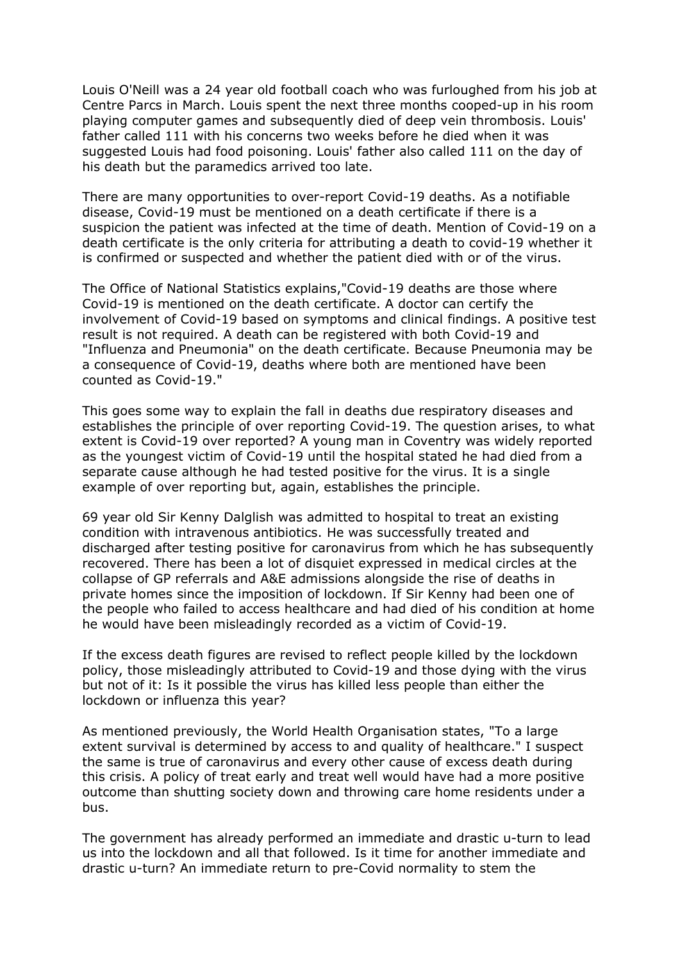Louis O'Neill was a 24 year old football coach who was furloughed from his job at Centre Parcs in March. Louis spent the next three months cooped-up in his room playing computer games and subsequently died of deep vein thrombosis. Louis' father called 111 with his concerns two weeks before he died when it was suggested Louis had food poisoning. Louis' father also called 111 on the day of his death but the paramedics arrived too late.

There are many opportunities to over-report Covid-19 deaths. As a notifiable disease, Covid-19 must be mentioned on a death certificate if there is a suspicion the patient was infected at the time of death. Mention of Covid-19 on a death certificate is the only criteria for attributing a death to covid-19 whether it is confirmed or suspected and whether the patient died with or of the virus.

The Office of National Statistics explains,"Covid-19 deaths are those where Covid-19 is mentioned on the death certificate. A doctor can certify the involvement of Covid-19 based on symptoms and clinical findings. A positive test result is not required. A death can be registered with both Covid-19 and "Influenza and Pneumonia" on the death certificate. Because Pneumonia may be a consequence of Covid-19, deaths where both are mentioned have been counted as Covid-19."

This goes some way to explain the fall in deaths due respiratory diseases and establishes the principle of over reporting Covid-19. The question arises, to what extent is Covid-19 over reported? A young man in Coventry was widely reported as the youngest victim of Covid-19 until the hospital stated he had died from a separate cause although he had tested positive for the virus. It is a single example of over reporting but, again, establishes the principle.

69 year old Sir Kenny Dalglish was admitted to hospital to treat an existing condition with intravenous antibiotics. He was successfully treated and discharged after testing positive for caronavirus from which he has subsequently recovered. There has been a lot of disquiet expressed in medical circles at the collapse of GP referrals and A&E admissions alongside the rise of deaths in private homes since the imposition of lockdown. If Sir Kenny had been one of the people who failed to access healthcare and had died of his condition at home he would have been misleadingly recorded as a victim of Covid-19.

If the excess death figures are revised to reflect people killed by the lockdown policy, those misleadingly attributed to Covid-19 and those dying with the virus but not of it: Is it possible the virus has killed less people than either the lockdown or influenza this year?

As mentioned previously, the World Health Organisation states, "To a large extent survival is determined by access to and quality of healthcare." I suspect the same is true of caronavirus and every other cause of excess death during this crisis. A policy of treat early and treat well would have had a more positive outcome than shutting society down and throwing care home residents under a bus.

The government has already performed an immediate and drastic u-turn to lead us into the lockdown and all that followed. Is it time for another immediate and drastic u-turn? An immediate return to pre-Covid normality to stem the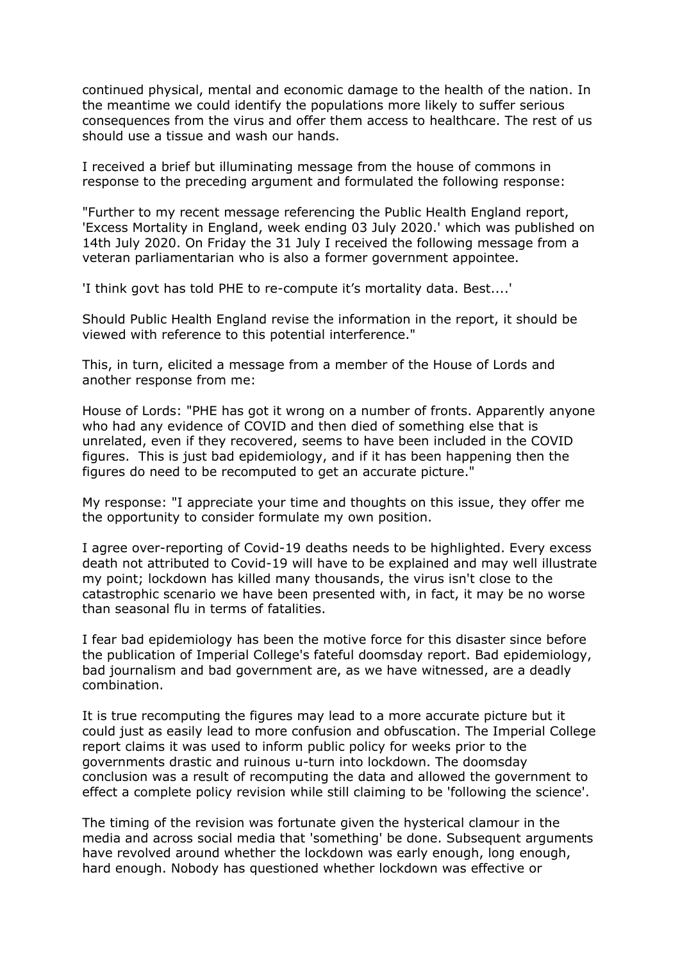continued physical, mental and economic damage to the health of the nation. In the meantime we could identify the populations more likely to suffer serious consequences from the virus and offer them access to healthcare. The rest of us should use a tissue and wash our hands.

I received a brief but illuminating message from the house of commons in response to the preceding argument and formulated the following response:

"Further to my recent message referencing the Public Health England report, 'Excess Mortality in England, week ending 03 July 2020.' which was published on 14th July 2020. On Friday the 31 July I received the following message from a veteran parliamentarian who is also a former government appointee.

'I think govt has told PHE to re-compute it's mortality data. Best....'

Should Public Health England revise the information in the report, it should be viewed with reference to this potential interference."

This, in turn, elicited a message from a member of the House of Lords and another response from me:

House of Lords: "PHE has got it wrong on a number of fronts. Apparently anyone who had any evidence of COVID and then died of something else that is unrelated, even if they recovered, seems to have been included in the COVID figures. This is just bad epidemiology, and if it has been happening then the figures do need to be recomputed to get an accurate picture."

My response: "I appreciate your time and thoughts on this issue, they offer me the opportunity to consider formulate my own position.

I agree over-reporting of Covid-19 deaths needs to be highlighted. Every excess death not attributed to Covid-19 will have to be explained and may well illustrate my point; lockdown has killed many thousands, the virus isn't close to the catastrophic scenario we have been presented with, in fact, it may be no worse than seasonal flu in terms of fatalities.

I fear bad epidemiology has been the motive force for this disaster since before the publication of Imperial College's fateful doomsday report. Bad epidemiology, bad journalism and bad government are, as we have witnessed, are a deadly combination.

It is true recomputing the figures may lead to a more accurate picture but it could just as easily lead to more confusion and obfuscation. The Imperial College report claims it was used to inform public policy for weeks prior to the governments drastic and ruinous u-turn into lockdown. The doomsday conclusion was a result of recomputing the data and allowed the government to effect a complete policy revision while still claiming to be 'following the science'.

The timing of the revision was fortunate given the hysterical clamour in the media and across social media that 'something' be done. Subsequent arguments have revolved around whether the lockdown was early enough, long enough, hard enough. Nobody has questioned whether lockdown was effective or